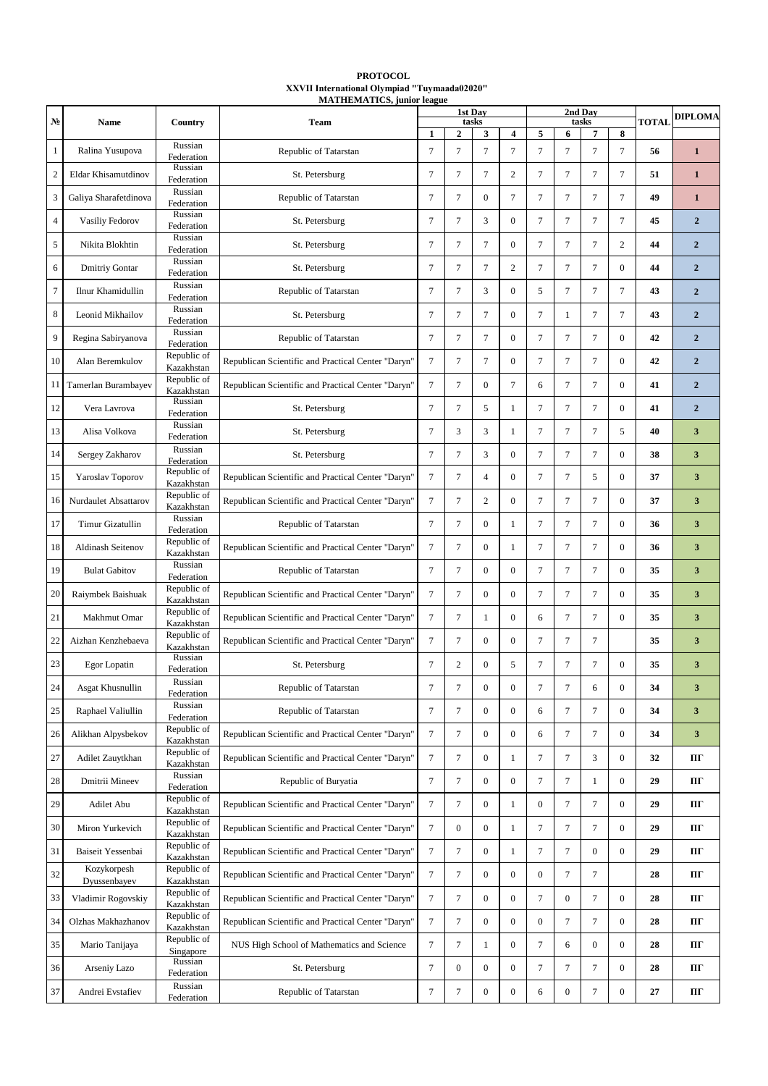## **PROTOCOL ХХVII International Olympiad "Tuymaada02020"**

|        |                       |                           | <b>MATHEMATICS, junior league</b>                  |                |                  |                  |                         |                  |                  |                  |                  |              |                |
|--------|-----------------------|---------------------------|----------------------------------------------------|----------------|------------------|------------------|-------------------------|------------------|------------------|------------------|------------------|--------------|----------------|
|        |                       |                           |                                                    |                |                  | 1st Day          |                         |                  | 2nd Day          |                  | <b>DIPLOMA</b>   |              |                |
| No     | <b>Name</b>           | Country                   | <b>Team</b>                                        | $\mathbf{1}$   | $\mathbf{2}$     | tasks<br>3       | $\overline{\mathbf{4}}$ | 5                |                  | tasks<br>7       | 8                | <b>TOTAL</b> |                |
|        |                       | Russian                   |                                                    |                |                  |                  |                         |                  | 6                |                  |                  |              |                |
| 1      | Ralina Yusupova       | Federation                | Republic of Tatarstan                              | $\overline{7}$ | $\overline{7}$   | $\overline{7}$   | $7\phantom{.0}$         | $\overline{7}$   | $\overline{7}$   | $7\phantom{.0}$  | $\tau$           | 56           | $\mathbf{1}$   |
| 2      | Eldar Khisamutdinov   | Russian                   | St. Petersburg                                     | 7              | 7                | $\overline{7}$   | 2                       | 7                | 7                | $\overline{7}$   | $\overline{7}$   | 51           | $\mathbf{1}$   |
|        |                       | Federation                |                                                    |                |                  |                  |                         |                  |                  |                  |                  |              |                |
| 3      | Galiya Sharafetdinova | Russian<br>Federation     | Republic of Tatarstan                              | 7              | 7                | $\mathbf{0}$     | 7                       | 7                | 7                | $\overline{7}$   | 7                | 49           | $\mathbf{1}$   |
|        |                       | Russian                   |                                                    |                |                  |                  |                         |                  |                  |                  |                  |              |                |
| 4      | Vasiliy Fedorov       | Federation                | St. Petersburg                                     | 7              | 7                | 3                | $\mathbf{0}$            | $7\phantom{.0}$  | 7                | $\overline{7}$   | 7                | 45           | $\overline{2}$ |
| 5      | Nikita Blokhtin       | Russian                   | St. Petersburg                                     | 7              | 7                | 7                | $\mathbf{0}$            | 7                | 7                | $\overline{7}$   | 2                | 44           | $\overline{2}$ |
|        |                       | Federation                |                                                    |                |                  |                  |                         |                  |                  |                  |                  |              |                |
| 6      | <b>Dmitriy Gontar</b> | Russian<br>Federation     | St. Petersburg                                     | $\overline{7}$ | $\overline{7}$   | $\overline{7}$   | $\overline{2}$          | $7\phantom{.0}$  | 7                | $\tau$           | $\Omega$         | 44           | $\overline{2}$ |
|        |                       | Russian                   |                                                    |                |                  |                  |                         |                  |                  |                  |                  |              |                |
| 7      | Ilnur Khamidullin     | Federation                | Republic of Tatarstan                              | 7              | 7                | 3                | $\mathbf{0}$            | 5                | 7                | $\tau$           | $\tau$           | 43           | $\overline{2}$ |
| 8      | Leonid Mikhailov      | Russian                   | St. Petersburg                                     | $\overline{7}$ | $\overline{7}$   | $\overline{7}$   | $\mathbf{0}$            | $7\phantom{.0}$  | -1               | $\tau$           | $\tau$           | 43           | $\overline{2}$ |
|        |                       | Federation                |                                                    |                |                  |                  |                         |                  |                  |                  |                  |              |                |
| 9      | Regina Sabiryanova    | Russian<br>Federation     | Republic of Tatarstan                              | 7              | 7                | 7                | $\Omega$                | $7\phantom{.0}$  | 7                | $\tau$           | $\mathbf{0}$     | 42           | $\overline{2}$ |
|        |                       | Republic of               |                                                    |                |                  |                  |                         |                  |                  |                  |                  |              |                |
| 10     | Alan Beremkulov       | Kazakhstan                | Republican Scientific and Practical Center "Daryn" | 7              | 7                | 7                | $\Omega$                | $7\phantom{.0}$  | 7                | $\tau$           | $\Omega$         | 42           | $\overline{2}$ |
| 11     | Tamerlan Burambayev   | Republic of               | Republican Scientific and Practical Center "Daryn" | 7              | 7                | $\mathbf{0}$     | $\overline{7}$          | 6                | 7                | $\tau$           | $\mathbf{0}$     | 41           | $\overline{2}$ |
|        |                       | Kazakhstan                |                                                    |                |                  |                  |                         |                  |                  |                  |                  |              |                |
| 12     | Vera Lavrova          | Russian<br>Federation     | St. Petersburg                                     | 7              | 7                | 5                | -1                      | 7                | 7                | 7                | $\Omega$         | 41           | $\overline{2}$ |
|        |                       | Russian                   |                                                    |                |                  |                  |                         |                  |                  |                  |                  |              |                |
| 13     | Alisa Volkova         | Federation                | St. Petersburg                                     | 7              | 3                | 3                | -1                      | 7                | 7                | 7                | 5                | 40           | 3              |
| 14     | Sergey Zakharov       | Russian                   | St. Petersburg                                     | $\overline{7}$ | $\overline{7}$   | 3                | $\Omega$                | $7\phantom{.0}$  | $\overline{7}$   | $7\phantom{.0}$  | $\Omega$         | 38           | 3              |
|        |                       | Federation                |                                                    |                |                  |                  |                         |                  |                  |                  |                  |              |                |
| 15     | Yaroslav Toporov      | Republic of<br>Kazakhstan | Republican Scientific and Practical Center "Daryn" | $\tau$         | $\overline{7}$   | $\overline{4}$   | $\mathbf{0}$            | $7\phantom{.0}$  | $\tau$           | 5                | $\mathbf{0}$     | 37           | 3              |
|        |                       | Republic of               |                                                    |                |                  |                  |                         |                  |                  |                  |                  |              |                |
| 16     | Nurdaulet Absattarov  | Kazakhstan                | Republican Scientific and Practical Center "Daryn" | $\tau$         | $\overline{7}$   | $\overline{2}$   | $\Omega$                | $7\phantom{.0}$  | $\overline{7}$   | $7\phantom{.0}$  | $\Omega$         | 37           | 3              |
| 17     | Timur Gizatullin      | Russian                   | Republic of Tatarstan                              | $\overline{7}$ | $\overline{7}$   | $\overline{0}$   | -1                      | $7\phantom{.0}$  | $\overline{7}$   | $7\phantom{.0}$  | $\mathbf{0}$     | 36           | 3              |
|        |                       | Federation                |                                                    |                |                  |                  |                         |                  |                  |                  |                  |              |                |
| 18     | Aldinash Seitenov     | Republic of<br>Kazakhstan | Republican Scientific and Practical Center "Daryn" | $\overline{7}$ | $\overline{7}$   | $\Omega$         | -1                      | $7\phantom{.0}$  | 7                | $7\phantom{.0}$  | $\Omega$         | 36           | 3              |
|        |                       | Russian                   |                                                    |                |                  |                  |                         |                  |                  |                  |                  |              |                |
| 19     | <b>Bulat Gabitov</b>  | Federation                | Republic of Tatarstan                              | $\overline{7}$ | 7                | $\Omega$         | $\Omega$                | 7                | 7                | 7                | $\mathbf{0}$     | 35           | 3              |
| 20     | Raiymbek Baishuak     | Republic of               | Republican Scientific and Practical Center "Daryn" | $\overline{7}$ | $\overline{7}$   | $\Omega$         | $\Omega$                | 7                | 7                | $\tau$           | $\Omega$         | 35           | 3              |
|        |                       | Kazakhstan                |                                                    |                |                  |                  |                         |                  |                  |                  |                  |              |                |
| 21     | Makhmut Omar          | Republic of               | Republican Scientific and Practical Center "Daryn" | $\tau$         | 7                | $\mathbf{1}$     | $\Omega$                | 6                | 7                | $\tau$           | $\mathbf{0}$     | 35           | 3              |
|        |                       | Kazakhstan<br>Republic of |                                                    |                |                  |                  |                         |                  |                  |                  |                  |              |                |
| 22     | Aizhan Kenzhebaeva    | Kazakhstan                | Republican Scientific and Practical Center "Daryn" | 7              | 7                | $\mathbf{0}$     | $\mathbf{0}$            | $\overline{7}$   | 7                | 7                |                  | 35           | 3              |
| 23     | Egor Lopatin          | Russian                   | St. Petersburg                                     | 7              | $\overline{2}$   | $\mathbf{0}$     | 5                       | 7                | 7                | 7                | $\mathbf{0}$     | 35           | 3              |
|        |                       | Federation                |                                                    |                |                  |                  |                         |                  |                  |                  |                  |              |                |
| 24     | Asgat Khusnullin      | Russian<br>Federation     | Republic of Tatarstan                              | $\overline{7}$ | $\overline{7}$   | $\overline{0}$   | $\mathbf{0}$            | $\tau$           | $\overline{7}$   | 6                | $\boldsymbol{0}$ | 34           | 3              |
|        |                       | Russian                   |                                                    |                |                  |                  |                         |                  |                  |                  |                  |              |                |
| 25     | Raphael Valiullin     | Federation                | Republic of Tatarstan                              | $\tau$         | $\tau$           | $\mathbf{0}$     | $\mathbf{0}$            | 6                | 7                | 7                | $\overline{0}$   | 34           | 3              |
| 26     | Alikhan Alpysbekov    | Republic of               | Republican Scientific and Practical Center "Daryn" | $\tau$         | $\tau$           | $\mathbf{0}$     | $\mathbf{0}$            | 6                | $\tau$           | 7                | $\boldsymbol{0}$ | 34           | 3              |
|        |                       | Kazakhstan                |                                                    |                |                  |                  |                         |                  |                  |                  |                  |              |                |
| $27\,$ | Adilet Zauytkhan      | Republic of<br>Kazakhstan | Republican Scientific and Practical Center "Daryn" | $\tau$         | $\tau$           | $\mathbf{0}$     | 1                       | $\tau$           | $\tau$           | 3                | $\boldsymbol{0}$ | 32           | Ш              |
|        |                       | Russian                   |                                                    |                |                  |                  |                         |                  |                  |                  |                  |              |                |
| 28     | Dmitrii Mineev        | Federation                | Republic of Buryatia                               | $\tau$         | $\tau$           | $\mathbf{0}$     | $\mathbf{0}$            | $\tau$           | 7                | 1                | $\overline{0}$   | 29           | ШΓ             |
| 29     | Adilet Abu            | Republic of               | Republican Scientific and Practical Center "Daryn" | $\tau$         | $\tau$           | $\boldsymbol{0}$ | 1                       | $\boldsymbol{0}$ | $\tau$           | 7                | $\overline{0}$   | 29           | ШΓ             |
|        |                       | Kazakhstan                |                                                    |                |                  |                  |                         |                  |                  |                  |                  |              |                |
| 30     | Miron Yurkevich       | Republic of<br>Kazakhstan | Republican Scientific and Practical Center "Daryn" | $\tau$         | $\boldsymbol{0}$ | $\boldsymbol{0}$ | 1                       | $\tau$           | 7                | 7                | $\overline{0}$   | 29           | Ш              |
|        |                       | Republic of               |                                                    |                |                  |                  |                         |                  |                  |                  |                  |              |                |
| 31     | Baiseit Yessenbai     | Kazakhstan                | Republican Scientific and Practical Center "Daryn" | $\tau$         | $\tau$           | $\boldsymbol{0}$ | $\mathbf{1}$            | $\tau$           | $\tau$           | $\overline{0}$   | $\boldsymbol{0}$ | 29           | ПΓ             |
| 32     | Kozykorpesh           | Republic of               | Republican Scientific and Practical Center "Daryn" | $\tau$         | $\tau$           | $\boldsymbol{0}$ | $\mathbf{0}$            | $\boldsymbol{0}$ | $\tau$           | 7                |                  | 28           | ПΓ             |
|        | Dyussenbayev          | Kazakhstan                |                                                    |                |                  |                  |                         |                  |                  |                  |                  |              |                |
| 33     | Vladimir Rogovskiy    | Republic of<br>Kazakhstan | Republican Scientific and Practical Center "Daryn" | $\tau$         | $\tau$           | $\boldsymbol{0}$ | $\boldsymbol{0}$        | $\tau$           | $\boldsymbol{0}$ | 7                | $\boldsymbol{0}$ | 28           | ПΓ             |
|        |                       | Republic of               |                                                    |                |                  |                  |                         |                  |                  |                  |                  |              |                |
| 34     | Olzhas Makhazhanov    | Kazakhstan                | Republican Scientific and Practical Center "Daryn" | $\tau$         | $\tau$           | $\boldsymbol{0}$ | $\mathbf{0}$            | $\boldsymbol{0}$ | $\tau$           | 7                | $\boldsymbol{0}$ | 28           | ПΓ             |
| 35     | Mario Tanijaya        | Republic of               | NUS High School of Mathematics and Science         | $\tau$         | $\tau$           | $\mathbf{1}$     | $\boldsymbol{0}$        | $\tau$           | 6                | $\boldsymbol{0}$ | $\boldsymbol{0}$ | 28           | ПΓ             |
|        |                       | Singapore<br>Russian      |                                                    |                |                  |                  |                         |                  |                  |                  |                  |              |                |
| 36     | Arseniy Lazo          | Federation                | St. Petersburg                                     | $\tau$         | $\mathbf{0}$     | $\mathbf{0}$     | $\mathbf{0}$            | $\tau$           | $\tau$           | 7                | $\overline{0}$   | 28           | ПΓ             |
|        |                       | Russian                   |                                                    |                |                  |                  |                         |                  |                  |                  |                  |              |                |
| 37     | Andrei Evstafiev      | Federation                | Republic of Tatarstan                              | $\tau$         | $\tau$           | $\boldsymbol{0}$ | $\boldsymbol{0}$        | 6                | $\boldsymbol{0}$ | $\tau$           | $\boldsymbol{0}$ | 27           | ШΓ             |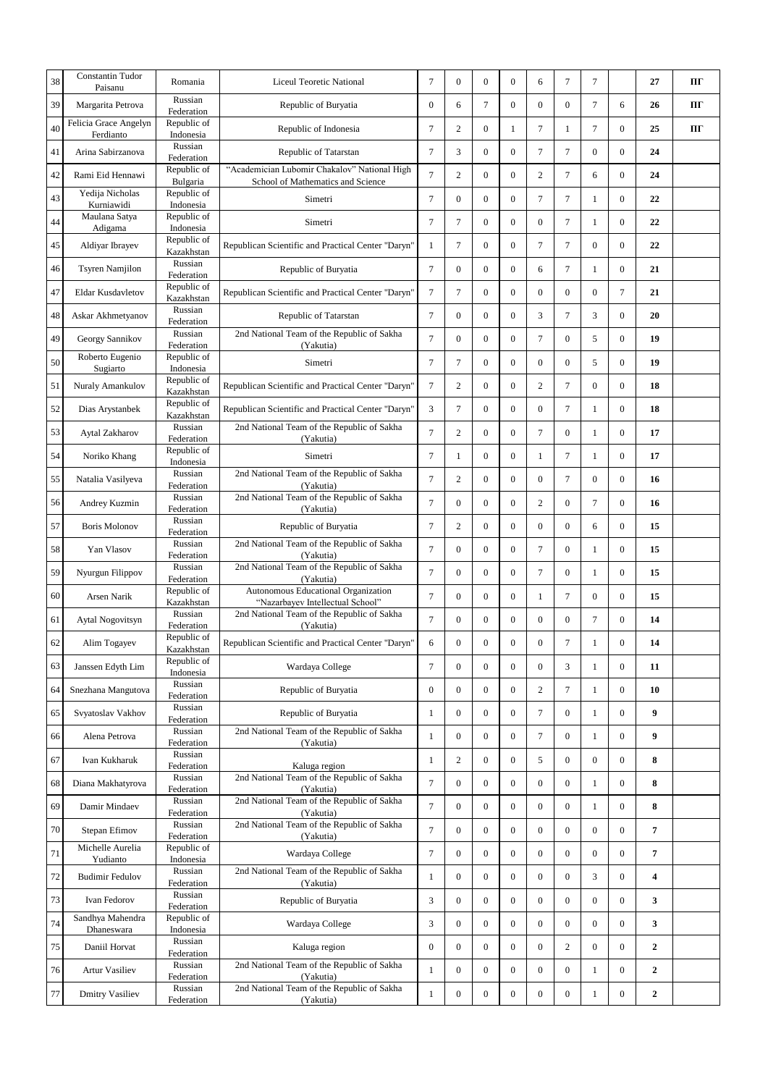| 38 | <b>Constantin Tudor</b><br>Paisanu | Romania                                | <b>Liceul Teoretic National</b>                                                   | $\tau$           | $\mathbf{0}$     | $\boldsymbol{0}$ | $\overline{0}$   | 6              | 7                | 7                |                  | 27               | Ш  |
|----|------------------------------------|----------------------------------------|-----------------------------------------------------------------------------------|------------------|------------------|------------------|------------------|----------------|------------------|------------------|------------------|------------------|----|
| 39 | Margarita Petrova                  | Russian<br>Federation                  | Republic of Buryatia                                                              | $\mathbf{0}$     | 6                | $\overline{7}$   | $\mathbf{0}$     | $\mathbf{0}$   | $\boldsymbol{0}$ | $\tau$           | 6                | 26               | ПГ |
| 40 | Felicia Grace Angelyn<br>Ferdianto | Republic of<br>Indonesia               | Republic of Indonesia                                                             | $\tau$           | $\overline{c}$   | 0                | 1                | $\tau$         | $\mathbf{1}$     | $\tau$           | $\mathbf{0}$     | 25               | Ш  |
| 41 | Arina Sabirzanova                  | Russian<br>Federation                  | Republic of Tatarstan                                                             | $\overline{7}$   | 3                | $\mathbf{0}$     | $\overline{0}$   | $\overline{7}$ | $\tau$           | $\boldsymbol{0}$ | $\mathbf{0}$     | 24               |    |
| 42 | Rami Eid Hennawi                   | Republic of<br>Bulgaria                | "Academician Lubomir Chakalov" National High<br>School of Mathematics and Science | $\overline{7}$   | $\overline{c}$   | $\boldsymbol{0}$ | $\mathbf{0}$     | $\overline{c}$ | $\tau$           | 6                | $\boldsymbol{0}$ | 24               |    |
| 43 | Yedija Nicholas<br>Kurniawidi      | Republic of<br>Indonesia               | Simetri                                                                           | $\tau$           | $\mathbf{0}$     | $\mathbf{0}$     | $\overline{0}$   | $\overline{7}$ | $\overline{7}$   | $\mathbf{1}$     | $\mathbf{0}$     | 22               |    |
| 44 | Maulana Satya<br>Adigama           | Republic of<br>Indonesia               | Simetri                                                                           | $\overline{7}$   | $\overline{7}$   | $\mathbf{0}$     | $\mathbf{0}$     | $\overline{0}$ | $\tau$           | $\mathbf{1}$     | $\mathbf{0}$     | 22               |    |
| 45 | Aldiyar Ibrayev                    | Republic of<br>Kazakhstan              | Republican Scientific and Practical Center "Daryn"                                | $\mathbf{1}$     | $\overline{7}$   | $\mathbf{0}$     | $\overline{0}$   | $\overline{7}$ | $\tau$           | $\boldsymbol{0}$ | $\mathbf{0}$     | 22               |    |
| 46 | <b>Tsyren Namjilon</b>             | Russian<br>Federation                  | Republic of Buryatia                                                              | $\tau$           | $\mathbf{0}$     | $\overline{0}$   | $\mathbf{0}$     | 6              | $\tau$           | $\mathbf{1}$     | $\mathbf{0}$     | 21               |    |
| 47 | <b>Eldar Kusdavletov</b>           | Republic of<br>Kazakhstan              | Republican Scientific and Practical Center "Daryn"                                | $\tau$           | $\overline{7}$   | $\mathbf{0}$     | $\overline{0}$   | $\overline{0}$ | $\mathbf{0}$     | $\mathbf{0}$     | $\overline{7}$   | 21               |    |
| 48 | Askar Akhmetyanov                  | Russian<br>Federation                  | Republic of Tatarstan                                                             | $\tau$           | $\mathbf{0}$     | $\mathbf{0}$     | $\overline{0}$   | 3              | $\overline{7}$   | 3                | $\mathbf{0}$     | 20               |    |
| 49 | Georgy Sannikov                    | Russian<br>Federation                  | 2nd National Team of the Republic of Sakha<br>(Yakutia)                           | $\overline{7}$   | $\mathbf{0}$     | 0                | $\overline{0}$   | 7              | $\overline{0}$   | 5                | $\mathbf{0}$     | 19               |    |
| 50 | Roberto Eugenio<br>Sugiarto        | Republic of<br>Indonesia               | Simetri                                                                           | $\tau$           | $\tau$           | $\mathbf{0}$     | $\mathbf{0}$     | $\overline{0}$ | $\mathbf{0}$     | 5                | $\mathbf{0}$     | 19               |    |
| 51 | Nuraly Amankulov                   | Republic of<br>Kazakhstan              | Republican Scientific and Practical Center "Daryn"                                | $\tau$           | $\overline{c}$   | 0                | $\overline{0}$   | 2              | 7                | $\mathbf{0}$     | $\mathbf{0}$     | 18               |    |
| 52 | Dias Arystanbek                    | Republic of<br>Kazakhstan              | Republican Scientific and Practical Center "Daryn"                                | 3                | $\overline{7}$   | $\mathbf{0}$     | $\mathbf{0}$     | $\overline{0}$ | $\overline{7}$   | $\mathbf{1}$     | $\mathbf{0}$     | 18               |    |
| 53 | Aytal Zakharov                     | Russian                                | 2nd National Team of the Republic of Sakha                                        | $\overline{7}$   | $\overline{c}$   | $\boldsymbol{0}$ | $\overline{0}$   | $\overline{7}$ | $\overline{0}$   | $\mathbf{1}$     | $\mathbf{0}$     | 17               |    |
| 54 | Noriko Khang                       | Federation<br>Republic of<br>Indonesia | (Yakutia)<br>Simetri                                                              | $\overline{7}$   | 1                | $\boldsymbol{0}$ | $\boldsymbol{0}$ | 1              | $\overline{7}$   | $\mathbf{1}$     | $\mathbf{0}$     | 17               |    |
| 55 | Natalia Vasilyeva                  | Russian                                | 2nd National Team of the Republic of Sakha                                        | $\overline{7}$   | $\overline{c}$   | $\boldsymbol{0}$ | 0                | $\overline{0}$ | $\tau$           | $\boldsymbol{0}$ | $\bf{0}$         | 16               |    |
| 56 | Andrey Kuzmin                      | Federation<br>Russian                  | (Yakutia)<br>2nd National Team of the Republic of Sakha                           | $\overline{7}$   | $\mathbf{0}$     | $\mathbf{0}$     | $\boldsymbol{0}$ | $\overline{c}$ | $\boldsymbol{0}$ | $\tau$           | $\overline{0}$   | 16               |    |
| 57 | <b>Boris Molonov</b>               | Federation<br>Russian                  | (Yakutia)<br>Republic of Buryatia                                                 | $\tau$           | 2                | $\boldsymbol{0}$ | $\boldsymbol{0}$ | $\overline{0}$ | $\boldsymbol{0}$ | 6                | $\overline{0}$   | 15               |    |
|    |                                    | Federation<br>Russian                  | 2nd National Team of the Republic of Sakha                                        |                  |                  |                  |                  |                |                  |                  |                  |                  |    |
| 58 | Yan Vlasov                         | Federation<br>Russian                  | (Yakutia)<br>2nd National Team of the Republic of Sakha                           | $\overline{7}$   | $\mathbf{0}$     | $\mathbf{0}$     | $\overline{0}$   | $\overline{7}$ | $\overline{0}$   | 1                | $\overline{0}$   | 15               |    |
| 59 | Nyurgun Filippov                   | Federation                             | (Yakutia)                                                                         | $\overline{7}$   | $\mathbf{0}$     | $\boldsymbol{0}$ | $\overline{0}$   | $\tau$         | $\overline{0}$   | 1                | $\overline{0}$   | 15               |    |
| 60 | Arsen Narik                        | Republic of<br>Kazakhstan              | Autonomous Educational Organization<br>"Nazarbayev Intellectual School"           | $\overline{7}$   | $\mathbf{0}$     | $\mathbf{0}$     | $\overline{0}$   | 1              | $\tau$           | $\mathbf{0}$     | $\overline{0}$   | 15               |    |
| 61 | Aytal Nogovitsyn                   | Russian<br>Federation                  | 2nd National Team of the Republic of Sakha<br>(Yakutia)                           | $\overline{7}$   | 0                | 0                | $\mathbf{0}$     | $\mathbf{0}$   | $\boldsymbol{0}$ | $\tau$           | $\mathbf{0}$     | 14               |    |
| 62 | Alim Togayev                       | Republic of<br>Kazakhstan              | Republican Scientific and Practical Center "Daryn"                                | 6                | $\Omega$         | $\Omega$         | $\Omega$         | $\Omega$       | 7                | -1               | $\Omega$         | 14               |    |
| 63 | Janssen Edyth Lim                  | Republic of<br>Indonesia               | Wardaya College                                                                   | $\overline{7}$   | $\mathbf{0}$     | $\boldsymbol{0}$ | $\overline{0}$   | $\overline{0}$ | 3                | $\mathbf{1}$     | $\boldsymbol{0}$ | 11               |    |
| 64 | Snezhana Mangutova                 | Russian<br>Federation                  | Republic of Buryatia                                                              | $\mathbf{0}$     | $\overline{0}$   | $\overline{0}$   | $\overline{0}$   | $\overline{2}$ | $\overline{7}$   | $\mathbf{1}$     | $\bf{0}$         | 10               |    |
| 65 | Svyatoslav Vakhov                  | Russian<br>Federation                  | Republic of Buryatia                                                              | $\mathbf{1}$     | 0                | 0                | 0                | $\tau$         | $\boldsymbol{0}$ | $\mathbf{1}$     | $\bf{0}$         | 9                |    |
| 66 | Alena Petrova                      | Russian<br>Federation                  | 2nd National Team of the Republic of Sakha<br>(Yakutia)                           | $\mathbf{1}$     | $\overline{0}$   | 0                | 0                | $\tau$         | $\boldsymbol{0}$ | $\mathbf{1}$     | $\bf{0}$         | 9                |    |
| 67 | Ivan Kukharuk                      | Russian<br>Federation                  | Kaluga region                                                                     | $\mathbf{1}$     | $\mathbf{2}$     | 0                | 0                | 5              | $\boldsymbol{0}$ | $\boldsymbol{0}$ | $\bf{0}$         | 8                |    |
| 68 | Diana Makhatyrova                  | Russian                                | 2nd National Team of the Republic of Sakha<br>(Yakutia)                           | $\overline{7}$   | $\overline{0}$   | $\boldsymbol{0}$ | $\overline{0}$   | $\overline{0}$ | $\boldsymbol{0}$ | $\mathbf{1}$     | $\bf{0}$         | 8                |    |
| 69 | Damir Mindaev                      | Federation<br>Russian<br>Federation    | 2nd National Team of the Republic of Sakha<br>(Yakutia)                           | $\tau$           | $\boldsymbol{0}$ | $\boldsymbol{0}$ | $\overline{0}$   | $\overline{0}$ | $\boldsymbol{0}$ | $\mathbf{1}$     | $\bf{0}$         | 8                |    |
| 70 | Stepan Efimov                      | Russian<br>Federation                  | 2nd National Team of the Republic of Sakha<br>(Yakutia)                           | $\overline{7}$   | $\boldsymbol{0}$ | $\boldsymbol{0}$ | $\overline{0}$   | $\overline{0}$ | $\overline{0}$   | $\boldsymbol{0}$ | $\boldsymbol{0}$ | 7                |    |
| 71 | Michelle Aurelia                   | Republic of                            | Wardaya College                                                                   | $\tau$           | $\overline{0}$   | $\boldsymbol{0}$ | $\overline{0}$   | $\overline{0}$ | $\boldsymbol{0}$ | $\boldsymbol{0}$ | $\bf{0}$         | 7                |    |
| 72 | Yudianto<br><b>Budimir Fedulov</b> | Indonesia<br>Russian                   | 2nd National Team of the Republic of Sakha                                        | 1                | $\boldsymbol{0}$ | $\boldsymbol{0}$ | $\overline{0}$   | $\overline{0}$ | $\boldsymbol{0}$ | 3                | $\overline{0}$   | 4                |    |
| 73 | Ivan Fedorov                       | Federation<br>Russian                  | (Yakutia)<br>Republic of Buryatia                                                 | 3                | $\boldsymbol{0}$ | $\boldsymbol{0}$ | $\boldsymbol{0}$ | $\overline{0}$ | $\boldsymbol{0}$ | $\bf{0}$         | $\mathbf{0}$     | 3                |    |
|    | Sandhya Mahendra                   | Federation<br>Republic of              |                                                                                   |                  |                  |                  |                  |                |                  |                  |                  |                  |    |
| 74 | Dhaneswara                         | Indonesia<br>Russian                   | Wardaya College                                                                   | 3                | $\overline{0}$   | $\boldsymbol{0}$ | $\overline{0}$   | $\overline{0}$ | $\mathbf{0}$     | $\bf{0}$         | $\overline{0}$   | 3                |    |
| 75 | Daniil Horvat                      | Federation                             | Kaluga region<br>2nd National Team of the Republic of Sakha                       | $\boldsymbol{0}$ | $\boldsymbol{0}$ | 0                | $\boldsymbol{0}$ | $\overline{0}$ | 2                | $\boldsymbol{0}$ | $\boldsymbol{0}$ | $\boldsymbol{2}$ |    |
| 76 | Artur Vasiliev                     | Russian<br>Federation                  | (Yakutia)                                                                         | 1                | $\boldsymbol{0}$ | $\boldsymbol{0}$ | $\boldsymbol{0}$ | $\overline{0}$ | $\boldsymbol{0}$ | $\mathbf{1}$     | $\boldsymbol{0}$ | $\boldsymbol{2}$ |    |
| 77 | <b>Dmitry Vasiliev</b>             | Russian<br>Federation                  | 2nd National Team of the Republic of Sakha<br>(Yakutia)                           | 1                | $\boldsymbol{0}$ | 0                | 0                | $\overline{0}$ | $\boldsymbol{0}$ | 1                | $\boldsymbol{0}$ | $\boldsymbol{2}$ |    |